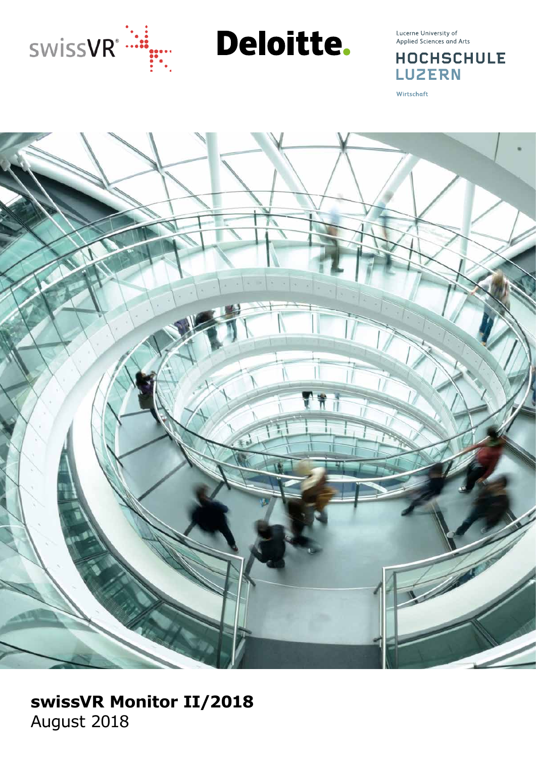

Deloitte.

Lucerne University of<br>Applied Sciences and Arts

### **HOCHSCHULE LUZERN**

Wirtschaft



### **swissVR Monitor II/2018** August 2018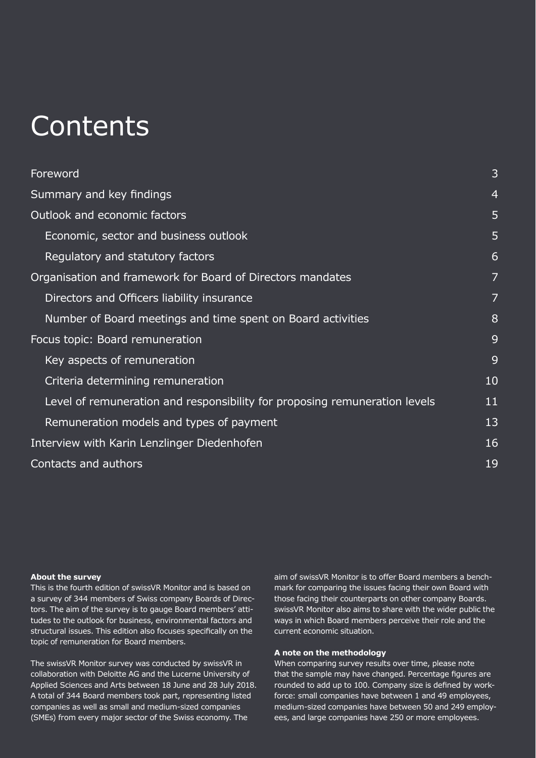# **Contents**

| Foreword                                                                   | 3  |
|----------------------------------------------------------------------------|----|
| Summary and key findings                                                   | 4  |
| Outlook and economic factors                                               | 5  |
| Economic, sector and business outlook                                      | 5  |
| Regulatory and statutory factors                                           | 6  |
| Organisation and framework for Board of Directors mandates                 | 7  |
| Directors and Officers liability insurance                                 | 7  |
| Number of Board meetings and time spent on Board activities                | 8  |
| Focus topic: Board remuneration                                            | 9  |
| Key aspects of remuneration                                                | 9  |
| Criteria determining remuneration                                          | 10 |
| Level of remuneration and responsibility for proposing remuneration levels | 11 |
| Remuneration models and types of payment                                   | 13 |
| Interview with Karin Lenzlinger Diedenhofen                                | 16 |
| Contacts and authors                                                       | 19 |
|                                                                            |    |

### **About the survey**

This is the fourth edition of swissVR Monitor and is based on a survey of 344 members of Swiss company Boards of Directors. The aim of the survey is to gauge Board members' attitudes to the outlook for business, environmental factors and structural issues. This edition also focuses specifically on the topic of remuneration for Board members.

The swissVR Monitor survey was conducted by swissVR in collaboration with Deloitte AG and the Lucerne University of Applied Sciences and Arts between 18 June and 28 July 2018. A total of 344 Board members took part, representing listed companies as well as small and medium-sized companies (SMEs) from every major sector of the Swiss economy. The

aim of swissVR Monitor is to offer Board members a benchmark for comparing the issues facing their own Board with those facing their counterparts on other company Boards. swissVR Monitor also aims to share with the wider public the ways in which Board members perceive their role and the current economic situation.

#### **A note on the methodology**

When comparing survey results over time, please note that the sample may have changed. Percentage figures are rounded to add up to 100. Company size is defined by workforce: small companies have between 1 and 49 employees, medium-sized companies have between 50 and 249 employees, and large companies have 250 or more employees.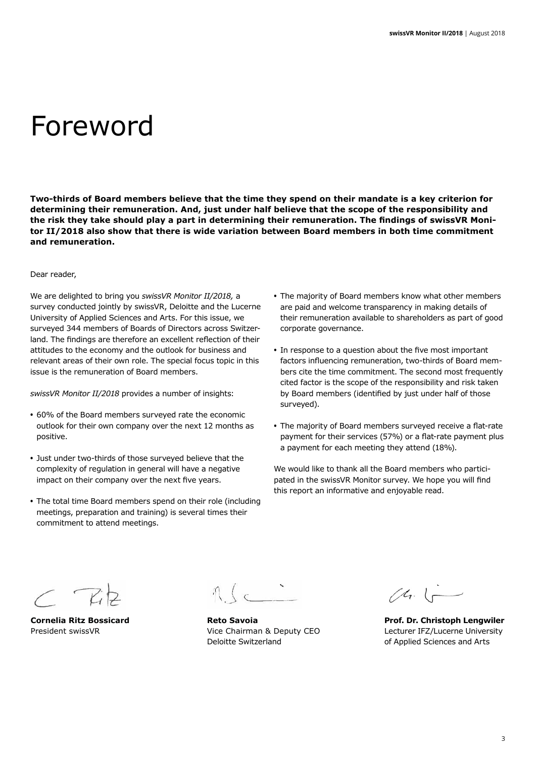# Foreword

**Two-thirds of Board members believe that the time they spend on their mandate is a key criterion for determining their remuneration. And, just under half believe that the scope of the responsibility and the risk they take should play a part in determining their remuneration. The findings of swissVR Monitor II/2018 also show that there is wide variation between Board members in both time commitment and remuneration.**

#### Dear reader,

We are delighted to bring you *swissVR Monitor II/2018,* a survey conducted jointly by swissVR, Deloitte and the Lucerne University of Applied Sciences and Arts. For this issue, we surveyed 344 members of Boards of Directors across Switzerland. The findings are therefore an excellent reflection of their attitudes to the economy and the outlook for business and relevant areas of their own role. The special focus topic in this issue is the remuneration of Board members.

*swissVR Monitor II/2018* provides a number of insights:

- **•** 60% of the Board members surveyed rate the economic outlook for their own company over the next 12 months as positive.
- **•** Just under two-thirds of those surveyed believe that the complexity of regulation in general will have a negative impact on their company over the next five years.
- **•** The total time Board members spend on their role (including meetings, preparation and training) is several times their commitment to attend meetings.
- **•** The majority of Board members know what other members are paid and welcome transparency in making details of their remuneration available to shareholders as part of good corporate governance.
- **•** In response to a question about the five most important factors influencing remuneration, two-thirds of Board members cite the time commitment. The second most frequently cited factor is the scope of the responsibility and risk taken by Board members (identified by just under half of those surveyed).
- **•** The majority of Board members surveyed receive a flat-rate payment for their services (57%) or a flat-rate payment plus a payment for each meeting they attend (18%).

We would like to thank all the Board members who participated in the swissVR Monitor survey. We hope you will find this report an informative and enjoyable read.

 $C$   $R$ 

 $\begin{array}{ccc} \begin{array}{ccc} \end{array} & \begin{array}{ccc} \end{array} & \begin{array}{ccc} \end{array} & \begin{array}{ccc} \end{array} & \begin{array}{ccc} \end{array} & \begin{array}{ccc} \end{array} & \begin{array}{ccc} \end{array} & \begin{array}{ccc} \end{array} & \begin{array}{ccc} \end{array} & \begin{array}{ccc} \end{array} & \begin{array}{ccc} \end{array} & \begin{array}{ccc} \end{array} & \begin{array}{ccc} \end{array} & \begin{array}{ccc} \end{array} & \begin{array}{ccc} \end{array} & \begin{array}{ccc} \end{array} & \begin{array}{$ 

Deloitte Switzerland of Applied Sciences and Arts

 $(4.1 -$ 

**Cornelia Ritz Bossicard Reto Savoia Prof. Dr. Christoph Lengwiler** President swissVR Vice Chairman & Deputy CEO Lecturer IFZ/Lucerne University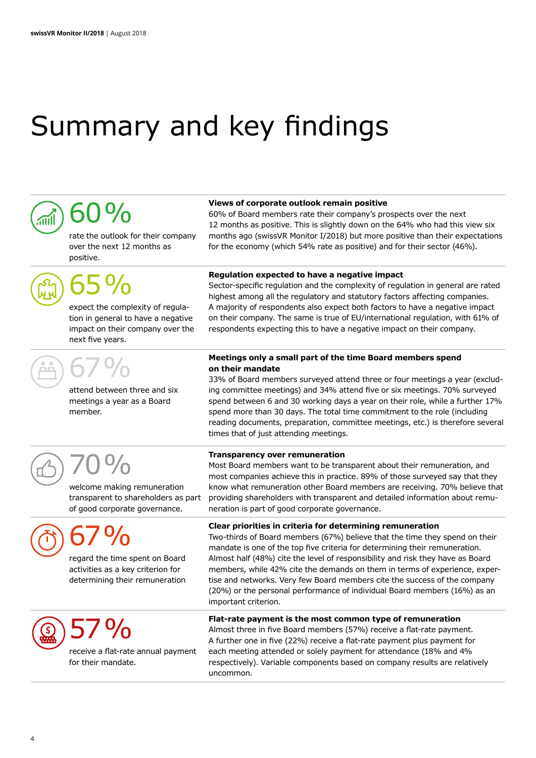# Summary and key findings

# $\bigcap \mathsf{O}_\mathsf{O}'$

rate the outlook for their company over the next 12 months as positive.

65%

expect the complexity of regulation in general to have a negative impact on their company over the next five years.

# 67%

attend between three and six meetings a year as a Board member.

# 70%

welcome making remuneration transparent to shareholders as part of good corporate governance.



regard the time spent on Board activities as a key criterion for determining their remuneration



# 57%

receive a flat-rate annual payment for their mandate.

#### **Views of corporate outlook remain positive**

60% of Board members rate their company's prospects over the next 12 months as positive. This is slightly down on the 64% who had this view six months ago (swissVR Monitor I/2018) but more positive than their expectations for the economy (which 54% rate as positive) and for their sector (46%).

#### **Regulation expected to have a negative impact**

Sector-specific regulation and the complexity of regulation in general are rated highest among all the regulatory and statutory factors affecting companies. A majority of respondents also expect both factors to have a negative impact on their company. The same is true of EU/international regulation, with 61% of respondents expecting this to have a negative impact on their company.

#### **Meetings only a small part of the time Board members spend on their mandate**

33% of Board members surveyed attend three or four meetings a year (excluding committee meetings) and 34% attend five or six meetings. 70% surveyed spend between 6 and 30 working days a year on their role, while a further 17% spend more than 30 days. The total time commitment to the role (including reading documents, preparation, committee meetings, etc.) is therefore several times that of just attending meetings.

#### **Transparency over remuneration**

Most Board members want to be transparent about their remuneration, and most companies achieve this in practice. 89% of those surveyed say that they know what remuneration other Board members are receiving. 70% believe that providing shareholders with transparent and detailed information about remuneration is part of good corporate governance.

#### **Clear priorities in criteria for determining remuneration**

Two-thirds of Board members (67%) believe that the time they spend on their mandate is one of the top five criteria for determining their remuneration. Almost half (48%) cite the level of responsibility and risk they have as Board members, while 42% cite the demands on them in terms of experience, expertise and networks. Very few Board members cite the success of the company (20%) or the personal performance of individual Board members (16%) as an important criterion.

### **Flat-rate payment is the most common type of remuneration**

Almost three in five Board members (57%) receive a flat-rate payment. A further one in five (22%) receive a flat-rate payment plus payment for each meeting attended or solely payment for attendance (18% and 4% respectively). Variable components based on company results are relatively uncommon.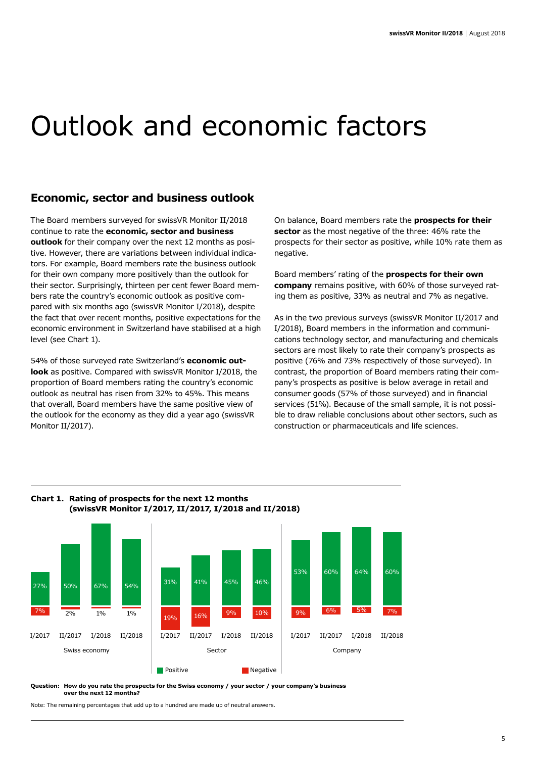# Outlook and economic factors

### **Economic, sector and business outlook**

The Board members surveyed for swissVR Monitor II/2018 continue to rate the **economic, sector and business outlook** for their company over the next 12 months as positive. However, there are variations between individual indicators. For example, Board members rate the business outlook for their own company more positively than the outlook for their sector. Surprisingly, thirteen per cent fewer Board members rate the country's economic outlook as positive compared with six months ago (swissVR Monitor I/2018), despite the fact that over recent months, positive expectations for the economic environment in Switzerland have stabilised at a high level (see Chart 1).

54% of those surveyed rate Switzerland's **economic outlook** as positive. Compared with swissVR Monitor I/2018, the proportion of Board members rating the country's economic outlook as neutral has risen from 32% to 45%. This means that overall, Board members have the same positive view of the outlook for the economy as they did a year ago (swissVR Monitor II/2017).

On balance, Board members rate the **prospects for their sector** as the most negative of the three: 46% rate the prospects for their sector as positive, while 10% rate them as negative.

Board members' rating of the **prospects for their own company** remains positive, with 60% of those surveyed rating them as positive, 33% as neutral and 7% as negative.

As in the two previous surveys (swissVR Monitor II/2017 and I/2018), Board members in the information and communications technology sector, and manufacturing and chemicals sectors are most likely to rate their company's prospects as positive (76% and 73% respectively of those surveyed). In contrast, the proportion of Board members rating their company's prospects as positive is below average in retail and consumer goods (57% of those surveyed) and in financial services (51%). Because of the small sample, it is not possible to draw reliable conclusions about other sectors, such as construction or pharmaceuticals and life sciences.



### **Chart 1. Rating of prospects for the next 12 months (swissVR Monitor I/2017, II/2017, I/2018 and II/2018)**

**Question: How do you rate the prospects for the Swiss economy / your sector / your company's business over the next 12 months?**

Note: The remaining percentages that add up to a hundred are made up of neutral answers.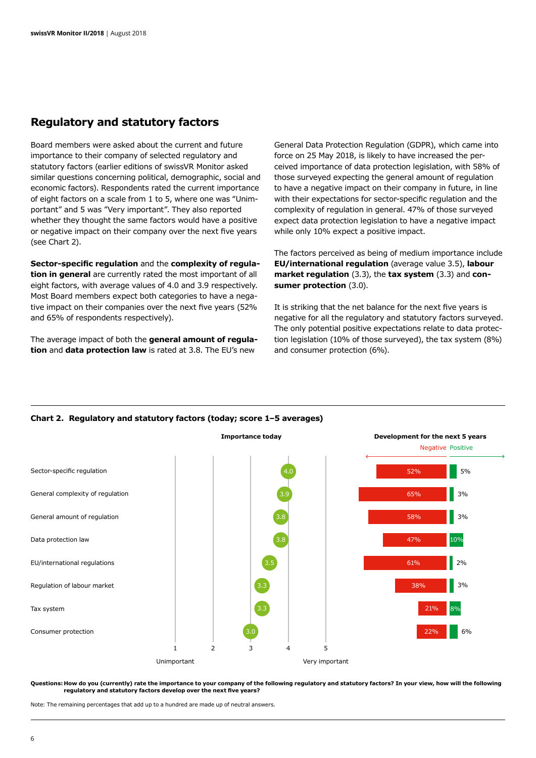### **Regulatory and statutory factors**

Board members were asked about the current and future importance to their company of selected regulatory and statutory factors (earlier editions of swissVR Monitor asked similar questions concerning political, demographic, social and economic factors). Respondents rated the current importance of eight factors on a scale from 1 to 5, where one was "Unimportant" and 5 was "Very important". They also reported whether they thought the same factors would have a positive or negative impact on their company over the next five years (see Chart 2).

**Sector-specific regulation** and the **complexity of regulation in general** are currently rated the most important of all eight factors, with average values of 4.0 and 3.9 respectively. Most Board members expect both categories to have a negative impact on their companies over the next five years (52% and 65% of respondents respectively).

The average impact of both the **general amount of regulation** and **data protection law** is rated at 3.8. The EU's new

General Data Protection Regulation (GDPR), which came into force on 25 May 2018, is likely to have increased the perceived importance of data protection legislation, with 58% of those surveyed expecting the general amount of regulation to have a negative impact on their company in future, in line with their expectations for sector-specific regulation and the complexity of regulation in general. 47% of those surveyed expect data protection legislation to have a negative impact while only 10% expect a positive impact.

The factors perceived as being of medium importance include **EU/international regulation** (average value 3.5), **labour market regulation** (3.3), the **tax system** (3.3) and **consumer protection** (3.0).

It is striking that the net balance for the next five years is negative for all the regulatory and statutory factors surveyed. The only potential positive expectations relate to data protection legislation (10% of those surveyed), the tax system (8%) and consumer protection (6%).



### **Chart 2. Regulatory and statutory factors (today; score 1–5 averages)**

**Questions: How do you (currently) rate the importance to your company of the following regulatory and statutory factors? In your view, how will the following regulatory and statutory factors develop over the next five years?**

Note: The remaining percentages that add up to a hundred are made up of neutral answers.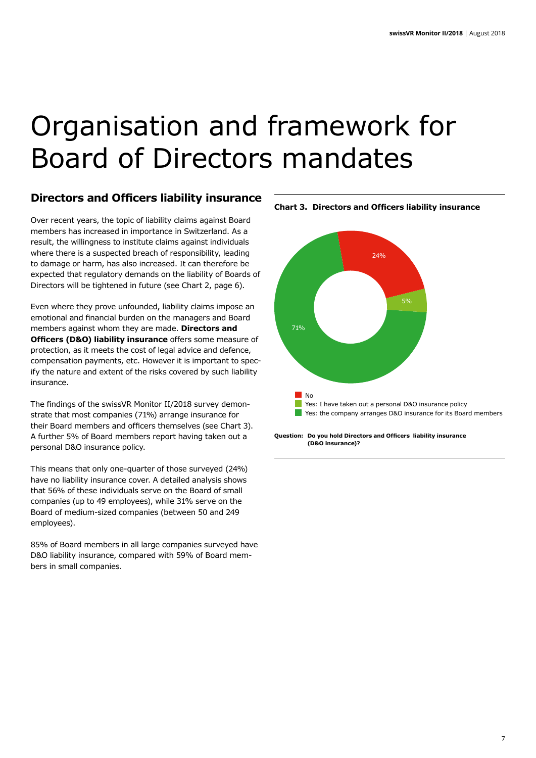# Organisation and framework for Board of Directors mandates

### **Directors and Officers liability insurance**

Over recent years, the topic of liability claims against Board members has increased in importance in Switzerland. As a result, the willingness to institute claims against individuals where there is a suspected breach of responsibility, leading to damage or harm, has also increased. It can therefore be expected that regulatory demands on the liability of Boards of Directors will be tightened in future (see Chart 2, page 6).

Even where they prove unfounded, liability claims impose an emotional and financial burden on the managers and Board members against whom they are made. **Directors and Officers (D&O) liability insurance** offers some measure of protection, as it meets the cost of legal advice and defence, compensation payments, etc. However it is important to specify the nature and extent of the risks covered by such liability insurance.

The findings of the swissVR Monitor II/2018 survey demonstrate that most companies (71%) arrange insurance for their Board members and officers themselves (see Chart 3). A further 5% of Board members report having taken out a personal D&O insurance policy.

This means that only one-quarter of those surveyed (24%) have no liability insurance cover. A detailed analysis shows that 56% of these individuals serve on the Board of small companies (up to 49 employees), while 31% serve on the Board of medium-sized companies (between 50 and 249 employees).

85% of Board members in all large companies surveyed have D&O liability insurance, compared with 59% of Board members in small companies.



**Question: Do you hold Directors and Officers liability insurance (D&O insurance)?**

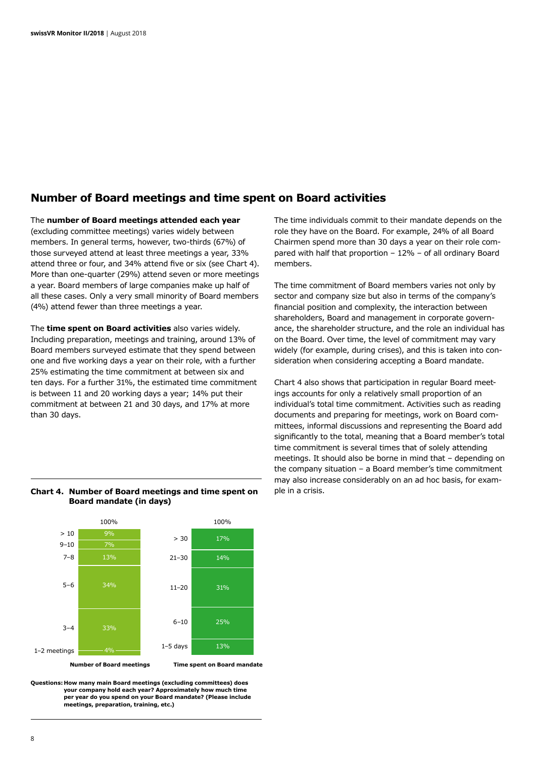### **Number of Board meetings and time spent on Board activities**

The **number of Board meetings attended each year**  (excluding committee meetings) varies widely between members. In general terms, however, two-thirds (67%) of those surveyed attend at least three meetings a year, 33% attend three or four, and 34% attend five or six (see Chart 4). More than one-quarter (29%) attend seven or more meetings a year. Board members of large companies make up half of all these cases. Only a very small minority of Board members (4%) attend fewer than three meetings a year.

The **time spent on Board activities** also varies widely. Including preparation, meetings and training, around 13% of Board members surveyed estimate that they spend between one and five working days a year on their role, with a further 25% estimating the time commitment at between six and ten days. For a further 31%, the estimated time commitment is between 11 and 20 working days a year; 14% put their commitment at between 21 and 30 days, and 17% at more than 30 days.

The time individuals commit to their mandate depends on the role they have on the Board. For example, 24% of all Board Chairmen spend more than 30 days a year on their role compared with half that proportion – 12% – of all ordinary Board members.

The time commitment of Board members varies not only by sector and company size but also in terms of the company's financial position and complexity, the interaction between shareholders, Board and management in corporate governance, the shareholder structure, and the role an individual has on the Board. Over time, the level of commitment may vary widely (for example, during crises), and this is taken into consideration when considering accepting a Board mandate.

Chart 4 also shows that participation in regular Board meetings accounts for only a relatively small proportion of an individual's total time commitment. Activities such as reading documents and preparing for meetings, work on Board committees, informal discussions and representing the Board add significantly to the total, meaning that a Board member's total time commitment is several times that of solely attending meetings. It should also be borne in mind that – depending on the company situation – a Board member's time commitment may also increase considerably on an ad hoc basis, for exam-



**Chart 4. Number of Board meetings and time spent on** ple in a crisis. **Board mandate (in days)**

**Questions: How many main Board meetings (excluding committees) does your company hold each year? Approximately how much time per year do you spend on your Board mandate? (Please include meetings, preparation, training, etc.)**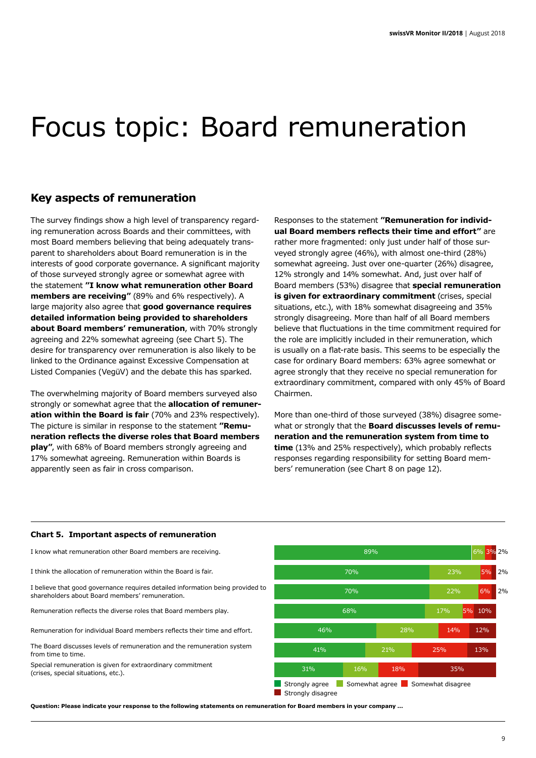# Focus topic: Board remuneration

### **Key aspects of remuneration**

The survey findings show a high level of transparency regarding remuneration across Boards and their committees, with most Board members believing that being adequately transparent to shareholders about Board remuneration is in the interests of good corporate governance. A significant majority of those surveyed strongly agree or somewhat agree with the statement **"I know what remuneration other Board members are receiving"** (89% and 6% respectively). A large majority also agree that **good governance requires detailed information being provided to shareholders about Board members' remuneration**, with 70% strongly agreeing and 22% somewhat agreeing (see Chart 5). The desire for transparency over remuneration is also likely to be linked to the Ordinance against Excessive Compensation at Listed Companies (VegüV) and the debate this has sparked.

The overwhelming majority of Board members surveyed also strongly or somewhat agree that the **allocation of remuneration within the Board is fair** (70% and 23% respectively). The picture is similar in response to the statement **"Remuneration reflects the diverse roles that Board members play"**, with 68% of Board members strongly agreeing and 17% somewhat agreeing. Remuneration within Boards is apparently seen as fair in cross comparison.

Responses to the statement **"Remuneration for individual Board members reflects their time and effort"** are rather more fragmented: only just under half of those surveyed strongly agree (46%), with almost one-third (28%) somewhat agreeing. Just over one-quarter (26%) disagree, 12% strongly and 14% somewhat. And, just over half of Board members (53%) disagree that **special remuneration is given for extraordinary commitment** (crises, special situations, etc.), with 18% somewhat disagreeing and 35% strongly disagreeing. More than half of all Board members believe that fluctuations in the time commitment required for the role are implicitly included in their remuneration, which is usually on a flat-rate basis. This seems to be especially the case for ordinary Board members: 63% agree somewhat or agree strongly that they receive no special remuneration for extraordinary commitment, compared with only 45% of Board Chairmen.

More than one-third of those surveyed (38%) disagree somewhat or strongly that the **Board discusses levels of remuneration and the remuneration system from time to time** (13% and 25% respectively), which probably reflects responses regarding responsibility for setting Board members' remuneration (see Chart 8 on page 12).

#### **Chart 5. Important aspects of remuneration**

I know what remuneration other Board members are receiving.

I think the allocation of remuneration within the Board is fair.

I believe that good governance requires detailed information being provided to shareholders about Board members' remuneration.

Remuneration reflects the diverse roles that Board members play.

Remuneration for individual Board members reflects their time and effort.

The Board discusses levels of remuneration and the remuneration system from time to time.

Special remuneration is given for extraordinary commitment (crises, special situations, etc.).



**Question: Please indicate your response to the following statements on remuneration for Board members in your company …**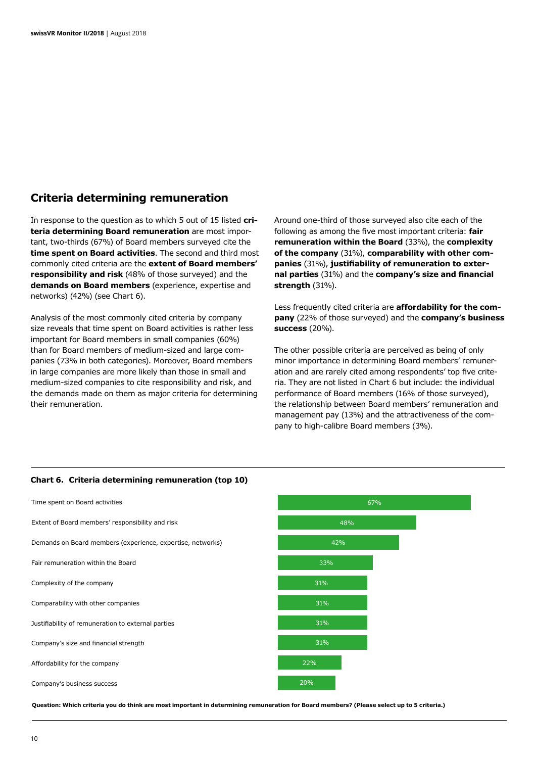### **Criteria determining remuneration**

In response to the question as to which 5 out of 15 listed **criteria determining Board remuneration** are most important, two-thirds (67%) of Board members surveyed cite the **time spent on Board activities**. The second and third most commonly cited criteria are the **extent of Board members' responsibility and risk** (48% of those surveyed) and the **demands on Board members** (experience, expertise and networks) (42%) (see Chart 6).

Analysis of the most commonly cited criteria by company size reveals that time spent on Board activities is rather less important for Board members in small companies (60%) than for Board members of medium-sized and large companies (73% in both categories). Moreover, Board members in large companies are more likely than those in small and medium-sized companies to cite responsibility and risk, and the demands made on them as major criteria for determining their remuneration.

Around one-third of those surveyed also cite each of the following as among the five most important criteria: **fair remuneration within the Board** (33%), the **complexity of the company** (31%), **comparability with other companies** (31%), **justifiability of remuneration to external parties** (31%) and the **company's size and financial strength** (31%).

Less frequently cited criteria are **affordability for the company** (22% of those surveyed) and the **company's business success** (20%).

The other possible criteria are perceived as being of only minor importance in determining Board members' remuneration and are rarely cited among respondents' top five criteria. They are not listed in Chart 6 but include: the individual performance of Board members (16% of those surveyed), the relationship between Board members' remuneration and management pay (13%) and the attractiveness of the company to high-calibre Board members (3%).



#### **Chart 6. Criteria determining remuneration (top 10)**

**Question: Which criteria you do think are most important in determining remuneration for Board members? (Please select up to 5 criteria.)**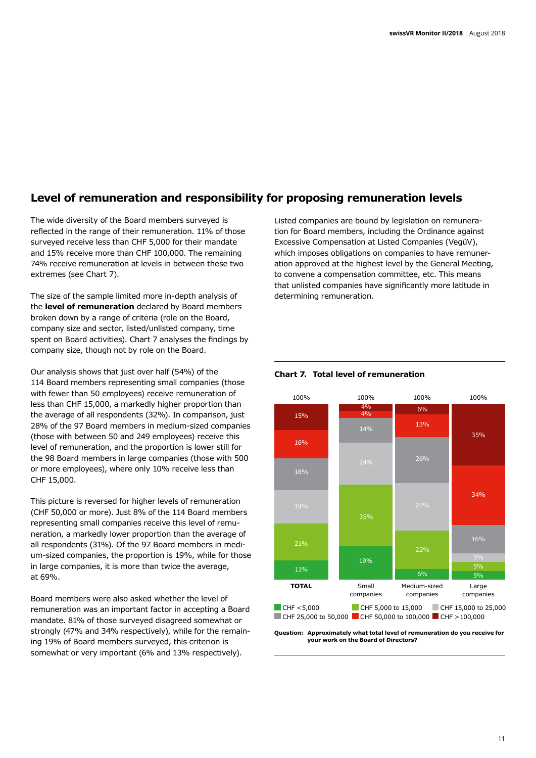### **Level of remuneration and responsibility for proposing remuneration levels**

The wide diversity of the Board members surveyed is reflected in the range of their remuneration. 11% of those surveyed receive less than CHF 5,000 for their mandate and 15% receive more than CHF 100,000. The remaining 74% receive remuneration at levels in between these two extremes (see Chart 7).

The size of the sample limited more in-depth analysis of the **level of remuneration** declared by Board members broken down by a range of criteria (role on the Board, company size and sector, listed/unlisted company, time spent on Board activities). Chart 7 analyses the findings by company size, though not by role on the Board.

Our analysis shows that just over half (54%) of the 114 Board members representing small companies (those with fewer than 50 employees) receive remuneration of less than CHF 15,000, a markedly higher proportion than the average of all respondents (32%). In comparison, just 28% of the 97 Board members in medium-sized companies (those with between 50 and 249 employees) receive this level of remuneration, and the proportion is lower still for the 98 Board members in large companies (those with 500 or more employees), where only 10% receive less than CHF 15,000.

This picture is reversed for higher levels of remuneration (CHF 50,000 or more). Just 8% of the 114 Board members representing small companies receive this level of remuneration, a markedly lower proportion than the average of all respondents (31%). Of the 97 Board members in medium-sized companies, the proportion is 19%, while for those in large companies, it is more than twice the average, at 69%.

Board members were also asked whether the level of remuneration was an important factor in accepting a Board mandate. 81% of those surveyed disagreed somewhat or strongly (47% and 34% respectively), while for the remaining 19% of Board members surveyed, this criterion is somewhat or very important (6% and 13% respectively).

Listed companies are bound by legislation on remuneration for Board members, including the Ordinance against Excessive Compensation at Listed Companies (VegüV), which imposes obligations on companies to have remuneration approved at the highest level by the General Meeting, to convene a compensation committee, etc. This means that unlisted companies have significantly more latitude in determining remuneration.

### **Chart 7. Total level of remuneration**



**Question: Approximately what total level of remuneration do you receive for your work on the Board of Directors?**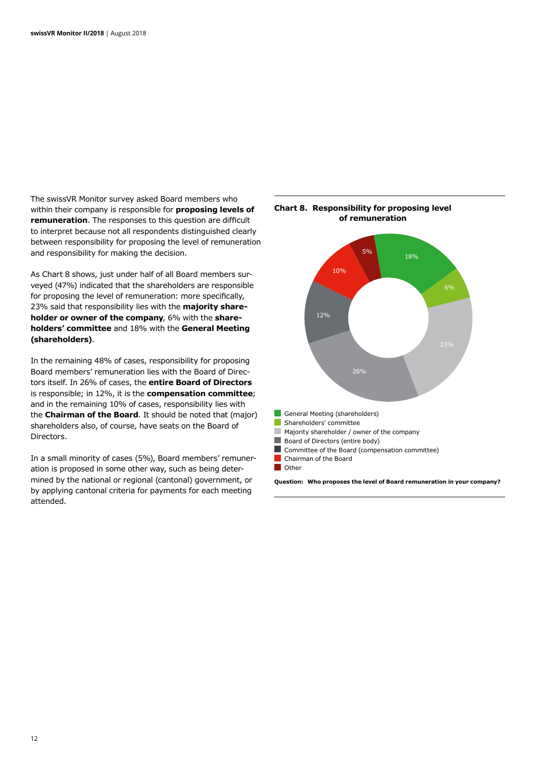The swissVR Monitor survey asked Board members who within their company is responsible for **proposing levels of remuneration**. The responses to this question are difficult to interpret because not all respondents distinguished clearly between responsibility for proposing the level of remuneration and responsibility for making the decision.

As Chart 8 shows, just under half of all Board members surveyed (47%) indicated that the shareholders are responsible for proposing the level of remuneration: more specifically, 23% said that responsibility lies with the **majority shareholder or owner of the company**, 6% with the **shareholders' committee** and 18% with the **General Meeting (shareholders)**.

In the remaining 48% of cases, responsibility for proposing Board members' remuneration lies with the Board of Directors itself. In 26% of cases, the **entire Board of Directors** is responsible; in 12%, it is the **compensation committee**; and in the remaining 10% of cases, responsibility lies with the **Chairman of the Board**. It should be noted that (major) shareholders also, of course, have seats on the Board of Directors.

In a small minority of cases (5%), Board members' remuneration is proposed in some other way, such as being determined by the national or regional (cantonal) government, or by applying cantonal criteria for payments for each meeting attended.

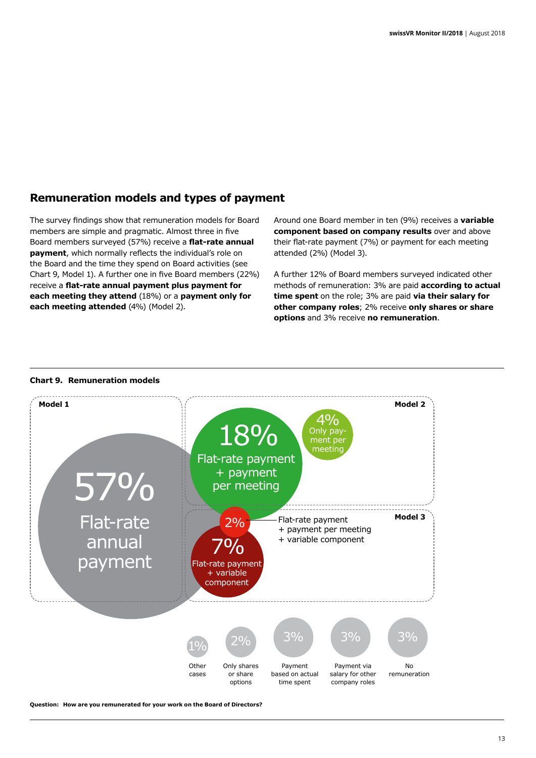### **Remuneration models and types of payment**

The survey findings show that remuneration models for Board members are simple and pragmatic. Almost three in five Board members surveyed (57%) receive a **flat-rate annual payment**, which normally reflects the individual's role on the Board and the time they spend on Board activities (see Chart 9, Model 1). A further one in five Board members (22%) receive a **flat-rate annual payment plus payment for each meeting they attend** (18%) or a **payment only for each meeting attended** (4%) (Model 2).

Around one Board member in ten (9%) receives a **variable component based on company results** over and above their flat-rate payment (7%) or payment for each meeting attended (2%) (Model 3).

A further 12% of Board members surveyed indicated other methods of remuneration: 3% are paid **according to actual time spent** on the role; 3% are paid **via their salary for other company roles**; 2% receive **only shares or share options** and 3% receive **no remuneration**.





**Question: How are you remunerated for your work on the Board of Directors?**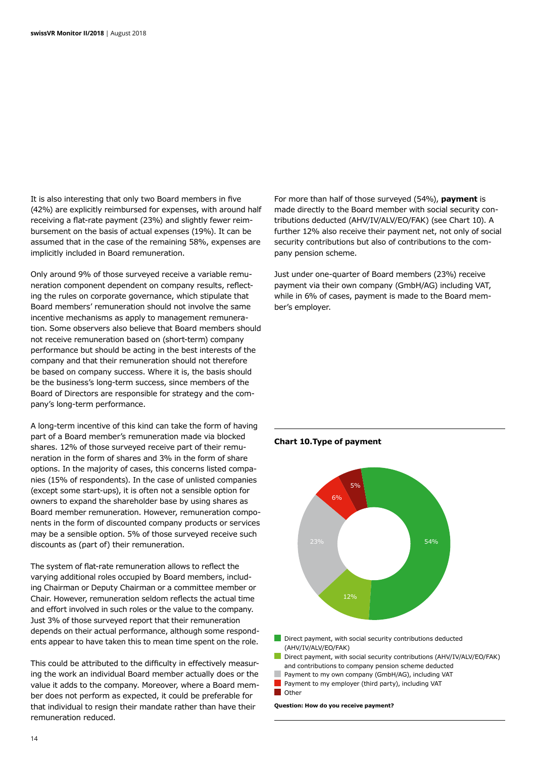It is also interesting that only two Board members in five (42%) are explicitly reimbursed for expenses, with around half receiving a flat-rate payment (23%) and slightly fewer reimbursement on the basis of actual expenses (19%). It can be assumed that in the case of the remaining 58%, expenses are implicitly included in Board remuneration.

Only around 9% of those surveyed receive a variable remuneration component dependent on company results, reflecting the rules on corporate governance, which stipulate that Board members' remuneration should not involve the same incentive mechanisms as apply to management remuneration. Some observers also believe that Board members should not receive remuneration based on (short-term) company performance but should be acting in the best interests of the company and that their remuneration should not therefore be based on company success. Where it is, the basis should be the business's long-term success, since members of the Board of Directors are responsible for strategy and the company's long-term performance.

A long-term incentive of this kind can take the form of having part of a Board member's remuneration made via blocked shares. 12% of those surveyed receive part of their remuneration in the form of shares and 3% in the form of share options. In the majority of cases, this concerns listed companies (15% of respondents). In the case of unlisted companies (except some start-ups), it is often not a sensible option for owners to expand the shareholder base by using shares as Board member remuneration. However, remuneration components in the form of discounted company products or services may be a sensible option. 5% of those surveyed receive such discounts as (part of) their remuneration.

The system of flat-rate remuneration allows to reflect the varying additional roles occupied by Board members, including Chairman or Deputy Chairman or a committee member or Chair. However, remuneration seldom reflects the actual time and effort involved in such roles or the value to the company. Just 3% of those surveyed report that their remuneration depends on their actual performance, although some respondents appear to have taken this to mean time spent on the role.

This could be attributed to the difficulty in effectively measuring the work an individual Board member actually does or the value it adds to the company. Moreover, where a Board member does not perform as expected, it could be preferable for that individual to resign their mandate rather than have their remuneration reduced.

For more than half of those surveyed (54%), **payment** is made directly to the Board member with social security contributions deducted (AHV/IV/ALV/EO/FAK) (see Chart 10). A further 12% also receive their payment net, not only of social security contributions but also of contributions to the company pension scheme.

Just under one-quarter of Board members (23%) receive payment via their own company (GmbH/AG) including VAT, while in 6% of cases, payment is made to the Board member's employer.

#### **Chart 10.Type of payment**



 Direct payment, with social security contributions deducted (AHV/IV/ALV/EO/FAK)

- Direct payment, with social security contributions (AHV/IV/ALV/EO/FAK) and contributions to company pension scheme deducted
- Payment to my own company (GmbH/AG), including VAT
- **Payment to my employer (third party), including VAT**
- Other

**Question: How do you receive payment?**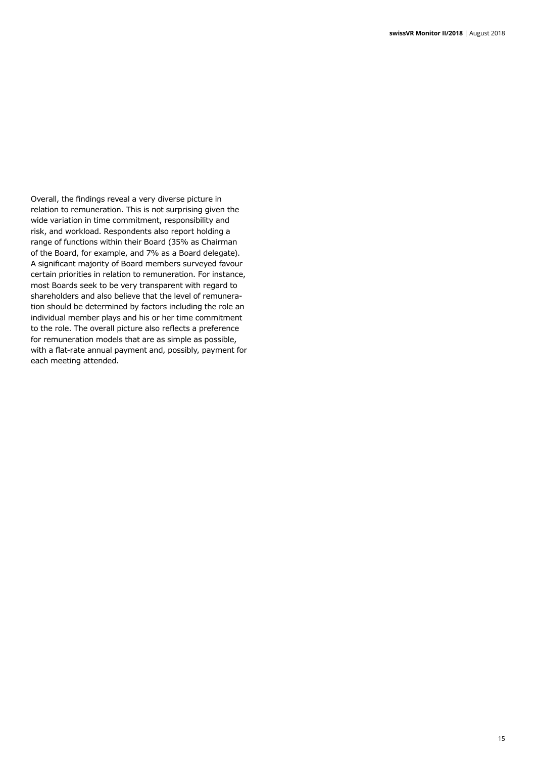Overall, the findings reveal a very diverse picture in relation to remuneration. This is not surprising given the wide variation in time commitment, responsibility and risk, and workload. Respondents also report holding a range of functions within their Board (35% as Chairman of the Board, for example, and 7% as a Board delegate). A significant majority of Board members surveyed favour certain priorities in relation to remuneration. For instance, most Boards seek to be very transparent with regard to shareholders and also believe that the level of remuneration should be determined by factors including the role an individual member plays and his or her time commitment to the role. The overall picture also reflects a preference for remuneration models that are as simple as possible, with a flat-rate annual payment and, possibly, payment for each meeting attended.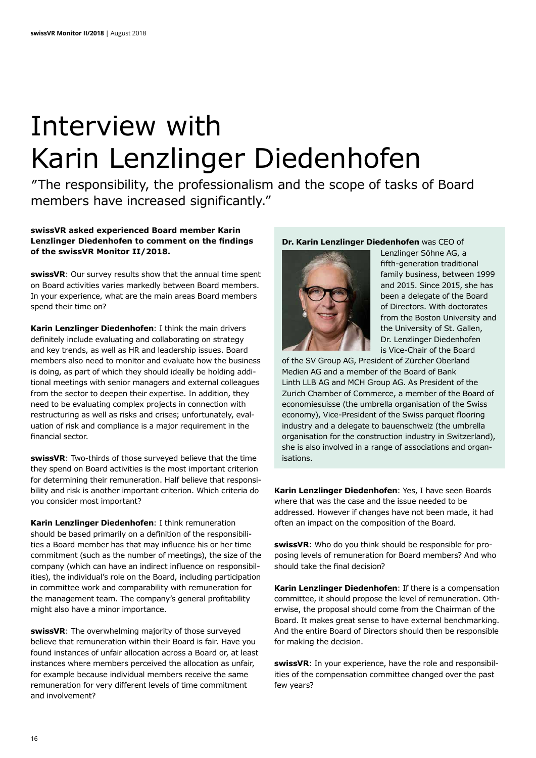# Interview with Karin Lenzlinger Diedenhofen

″The responsibility, the professionalism and the scope of tasks of Board members have increased significantly."

### **swissVR asked experienced Board member Karin Lenzlinger Diedenhofen to comment on the findings of the swissVR Monitor II/2018.**

**swissVR**: Our survey results show that the annual time spent on Board activities varies markedly between Board members. In your experience, what are the main areas Board members spend their time on?

**Karin Lenzlinger Diedenhofen**: I think the main drivers definitely include evaluating and collaborating on strategy and key trends, as well as HR and leadership issues. Board members also need to monitor and evaluate how the business is doing, as part of which they should ideally be holding additional meetings with senior managers and external colleagues from the sector to deepen their expertise. In addition, they need to be evaluating complex projects in connection with restructuring as well as risks and crises; unfortunately, evaluation of risk and compliance is a major requirement in the financial sector.

**swissVR**: Two-thirds of those surveyed believe that the time they spend on Board activities is the most important criterion for determining their remuneration. Half believe that responsibility and risk is another important criterion. Which criteria do you consider most important?

**Karin Lenzlinger Diedenhofen**: I think remuneration should be based primarily on a definition of the responsibilities a Board member has that may influence his or her time commitment (such as the number of meetings), the size of the company (which can have an indirect influence on responsibilities), the individual's role on the Board, including participation in committee work and comparability with remuneration for the management team. The company's general profitability might also have a minor importance.

**swissVR**: The overwhelming majority of those surveyed believe that remuneration within their Board is fair. Have you found instances of unfair allocation across a Board or, at least instances where members perceived the allocation as unfair, for example because individual members receive the same remuneration for very different levels of time commitment and involvement?

#### **Dr. Karin Lenzlinger Diedenhofen** was CEO of



Lenzlinger Söhne AG, a fifth-generation traditional family business, between 1999 and 2015. Since 2015, she has been a delegate of the Board of Directors. With doctorates from the Boston University and the University of St. Gallen, Dr. Lenzlinger Diedenhofen is Vice-Chair of the Board

of the SV Group AG, President of Zürcher Oberland Medien AG and a member of the Board of Bank Linth LLB AG and MCH Group AG. As President of the Zurich Chamber of Commerce, a member of the Board of economiesuisse (the umbrella organisation of the Swiss economy), Vice-President of the Swiss parquet flooring industry and a delegate to bauenschweiz (the umbrella organisation for the construction industry in Switzerland), she is also involved in a range of associations and organisations.

**Karin Lenzlinger Diedenhofen**: Yes, I have seen Boards where that was the case and the issue needed to be addressed. However if changes have not been made, it had often an impact on the composition of the Board.

**swissVR**: Who do you think should be responsible for proposing levels of remuneration for Board members? And who should take the final decision?

**Karin Lenzlinger Diedenhofen**: If there is a compensation committee, it should propose the level of remuneration. Otherwise, the proposal should come from the Chairman of the Board. It makes great sense to have external benchmarking. And the entire Board of Directors should then be responsible for making the decision.

**swissVR**: In your experience, have the role and responsibilities of the compensation committee changed over the past few years?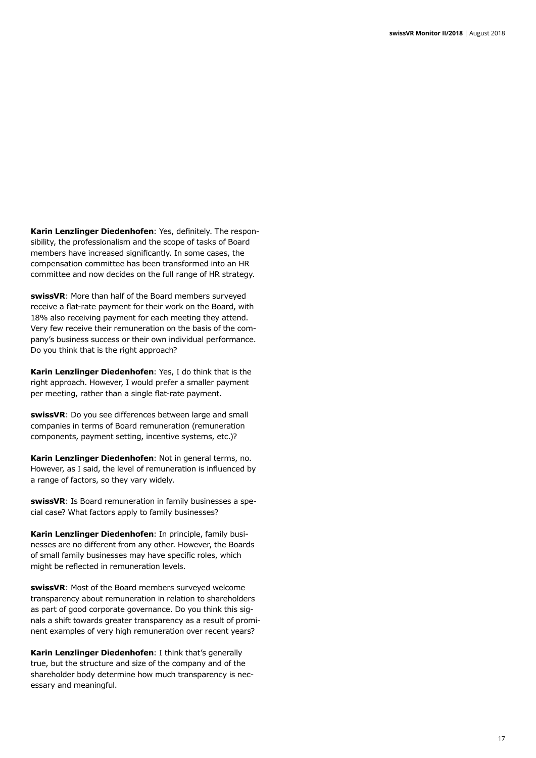**Karin Lenzlinger Diedenhofen**: Yes, definitely. The responsibility, the professionalism and the scope of tasks of Board members have increased significantly. In some cases, the compensation committee has been transformed into an HR committee and now decides on the full range of HR strategy.

**swissVR**: More than half of the Board members surveyed receive a flat-rate payment for their work on the Board, with 18% also receiving payment for each meeting they attend. Very few receive their remuneration on the basis of the company's business success or their own individual performance. Do you think that is the right approach?

**Karin Lenzlinger Diedenhofen**: Yes, I do think that is the right approach. However, I would prefer a smaller payment per meeting, rather than a single flat-rate payment.

**swissVR**: Do you see differences between large and small companies in terms of Board remuneration (remuneration components, payment setting, incentive systems, etc.)?

**Karin Lenzlinger Diedenhofen**: Not in general terms, no. However, as I said, the level of remuneration is influenced by a range of factors, so they vary widely.

**swissVR**: Is Board remuneration in family businesses a special case? What factors apply to family businesses?

**Karin Lenzlinger Diedenhofen**: In principle, family businesses are no different from any other. However, the Boards of small family businesses may have specific roles, which might be reflected in remuneration levels.

**swissVR**: Most of the Board members surveyed welcome transparency about remuneration in relation to shareholders as part of good corporate governance. Do you think this signals a shift towards greater transparency as a result of prominent examples of very high remuneration over recent years?

**Karin Lenzlinger Diedenhofen**: I think that's generally true, but the structure and size of the company and of the shareholder body determine how much transparency is necessary and meaningful.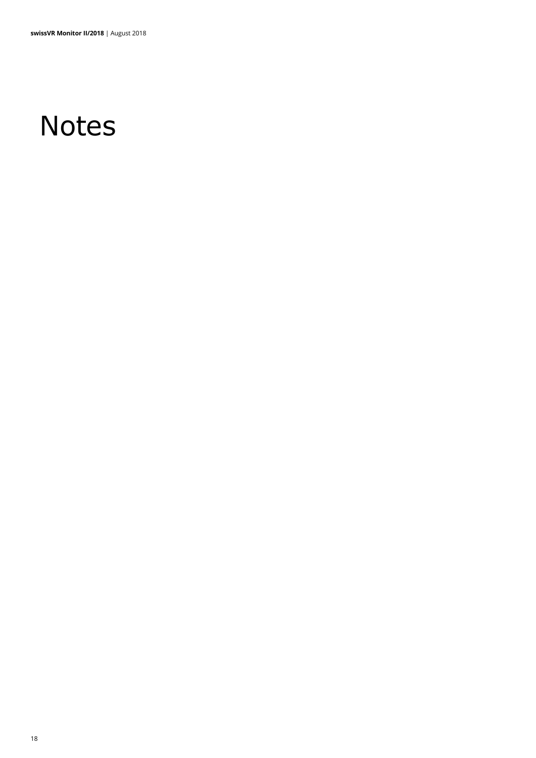# **Notes**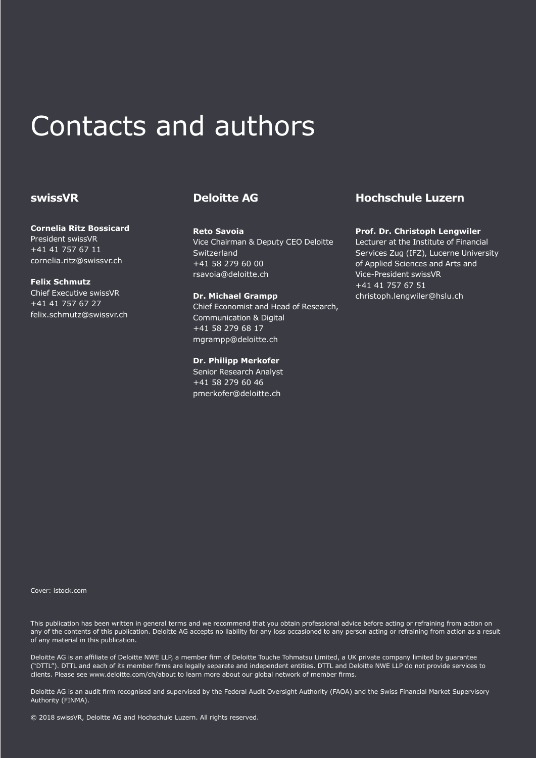# Contacts and authors

### **swissVR**

**Cornelia Ritz Bossicard** President swissVR +41 41 757 67 11 cornelia.ritz@swissvr.ch

**Felix Schmutz** Chief Executive swissVR +41 41 757 67 27 felix.schmutz@swissvr.ch

### **Deloitte AG**

**Reto Savoia** Vice Chairman & Deputy CEO Deloitte Switzerland +41 58 279 60 00 rsavoia@deloitte.ch

**Dr. Michael Grampp** Chief Economist and Head of Research, Communication & Digital +41 58 279 68 17 mgrampp@deloitte.ch

**Dr. Philipp Merkofer** Senior Research Analyst +41 58 279 60 46

pmerkofer@deloitte.ch

### **Hochschule Luzern**

**Prof. Dr. Christoph Lengwiler**

Lecturer at the Institute of Financial Services Zug (IFZ), Lucerne University of Applied Sciences and Arts and Vice-President swissVR +41 41 757 67 51 christoph.lengwiler@hslu.ch

Cover: istock.com

This publication has been written in general terms and we recommend that you obtain professional advice before acting or refraining from action on any of the contents of this publication. Deloitte AG accepts no liability for any loss occasioned to any person acting or refraining from action as a result of any material in this publication.

Deloitte AG is an affiliate of Deloitte NWE LLP, a member firm of Deloitte Touche Tohmatsu Limited, a UK private company limited by guarantee ("DTTL"). DTTL and each of its member firms are legally separate and independent entities. DTTL and Deloitte NWE LLP do not provide services to clients. Please see www.deloitte.com/ch/about to learn more about our global network of member firms.

Deloitte AG is an audit firm recognised and supervised by the Federal Audit Oversight Authority (FAOA) and the Swiss Financial Market Supervisory Authority (FINMA).

© 2018 swissVR, Deloitte AG and Hochschule Luzern. All rights reserved.